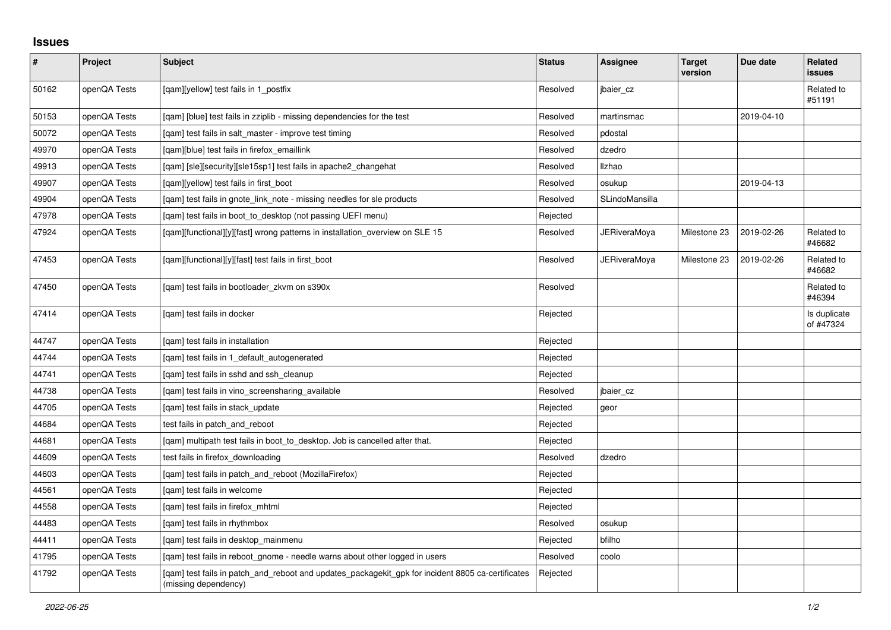## **Issues**

| $\vert$ # | Project      | <b>Subject</b>                                                                                                            | <b>Status</b> | <b>Assignee</b>     | <b>Target</b><br>version | Due date   | Related<br>issues         |
|-----------|--------------|---------------------------------------------------------------------------------------------------------------------------|---------------|---------------------|--------------------------|------------|---------------------------|
| 50162     | openQA Tests | [qam][yellow] test fails in 1_postfix                                                                                     | Resolved      | jbaier cz           |                          |            | Related to<br>#51191      |
| 50153     | openQA Tests | [qam] [blue] test fails in zziplib - missing dependencies for the test                                                    | Resolved      | martinsmac          |                          | 2019-04-10 |                           |
| 50072     | openQA Tests | [qam] test fails in salt_master - improve test timing                                                                     | Resolved      | pdostal             |                          |            |                           |
| 49970     | openQA Tests | [gam][blue] test fails in firefox emaillink                                                                               | Resolved      | dzedro              |                          |            |                           |
| 49913     | openQA Tests | [gam] [sle][security][sle15sp1] test fails in apache2 changehat                                                           | Resolved      | Ilzhao              |                          |            |                           |
| 49907     | openQA Tests | [qam][yellow] test fails in first_boot                                                                                    | Resolved      | osukup              |                          | 2019-04-13 |                           |
| 49904     | openQA Tests | [gam] test fails in gnote link note - missing needles for sle products                                                    | Resolved      | SLindoMansilla      |                          |            |                           |
| 47978     | openQA Tests | [gam] test fails in boot to desktop (not passing UEFI menu)                                                               | Rejected      |                     |                          |            |                           |
| 47924     | openQA Tests | [qam][functional][y][fast] wrong patterns in installation_overview on SLE 15                                              | Resolved      | <b>JERiveraMoya</b> | Milestone 23             | 2019-02-26 | Related to<br>#46682      |
| 47453     | openQA Tests | [qam][functional][y][fast] test fails in first_boot                                                                       | Resolved      | JERiveraMoya        | Milestone 23             | 2019-02-26 | Related to<br>#46682      |
| 47450     | openQA Tests | [gam] test fails in bootloader zkvm on s390x                                                                              | Resolved      |                     |                          |            | Related to<br>#46394      |
| 47414     | openQA Tests | [gam] test fails in docker                                                                                                | Rejected      |                     |                          |            | Is duplicate<br>of #47324 |
| 44747     | openQA Tests | [gam] test fails in installation                                                                                          | Rejected      |                     |                          |            |                           |
| 44744     | openQA Tests | [qam] test fails in 1_default_autogenerated                                                                               | Rejected      |                     |                          |            |                           |
| 44741     | openQA Tests | [gam] test fails in sshd and ssh cleanup                                                                                  | Rejected      |                     |                          |            |                           |
| 44738     | openQA Tests | [gam] test fails in vino screensharing available                                                                          | Resolved      | jbaier_cz           |                          |            |                           |
| 44705     | openQA Tests | [gam] test fails in stack update                                                                                          | Rejected      | geor                |                          |            |                           |
| 44684     | openQA Tests | test fails in patch_and_reboot                                                                                            | Rejected      |                     |                          |            |                           |
| 44681     | openQA Tests | [gam] multipath test fails in boot to desktop. Job is cancelled after that.                                               | Rejected      |                     |                          |            |                           |
| 44609     | openQA Tests | test fails in firefox downloading                                                                                         | Resolved      | dzedro              |                          |            |                           |
| 44603     | openQA Tests | [qam] test fails in patch_and_reboot (MozillaFirefox)                                                                     | Rejected      |                     |                          |            |                           |
| 44561     | openQA Tests | [gam] test fails in welcome                                                                                               | Rejected      |                     |                          |            |                           |
| 44558     | openQA Tests | [gam] test fails in firefox mhtml                                                                                         | Rejected      |                     |                          |            |                           |
| 44483     | openQA Tests | [gam] test fails in rhythmbox                                                                                             | Resolved      | osukup              |                          |            |                           |
| 44411     | openQA Tests | [qam] test fails in desktop_mainmenu                                                                                      | Rejected      | bfilho              |                          |            |                           |
| 41795     | openQA Tests | [gam] test fails in reboot gnome - needle warns about other logged in users                                               | Resolved      | coolo               |                          |            |                           |
| 41792     | openQA Tests | [gam] test fails in patch and reboot and updates packagekit gpk for incident 8805 ca-certificates<br>(missing dependency) | Rejected      |                     |                          |            |                           |